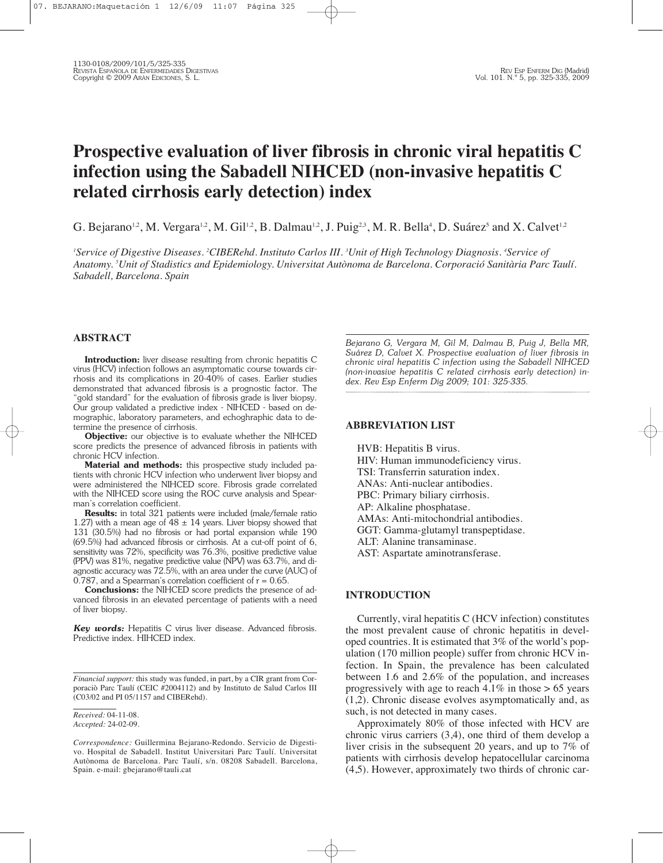# **Prospective evaluation of liver fibrosis in chronic viral hepatitis C infection using the Sabadell NIHCED (non-invasive hepatitis C related cirrhosis early detection) index**

G. Bejarano<sup>1,2</sup>, M. Vergara<sup>1,2</sup>, M. Gil<sup>1,2</sup>, B. Dalmau<sup>1,2</sup>, J. Puig<sup>2,3</sup>, M. R. Bella<sup>4</sup>, D. Suárez<sup>5</sup> and X. Calvet<sup>1,2</sup>

'Service of Digestive Diseases. <sup>2</sup>CIBERehd. Instituto Carlos III. <sup>3</sup>Unit of High Technology Diagnosis. <sup>4</sup>Service of *Anatomy. <sup>5</sup> Unit of Stadistics and Epidemiology. Universitat Autònoma de Barcelona. Corporació Sanitària Parc Taulí. Sabadell, Barcelona. Spain*

## **ABSTRACT**

**Introduction:** liver disease resulting from chronic hepatitis C virus (HCV) infection follows an asymptomatic course towards cirrhosis and its complications in 20-40% of cases. Earlier studies demonstrated that advanced fibrosis is a prognostic factor. The "gold standard" for the evaluation of fibrosis grade is liver biopsy. Our group validated a predictive index - NIHCED - based on demographic, laboratory parameters, and echoghraphic data to determine the presence of cirrhosis.

**Objective:** our objective is to evaluate whether the NIHCED score predicts the presence of advanced fibrosis in patients with chronic HCV infection.

**Material and methods:** this prospective study included patients with chronic HCV infection who underwent liver biopsy and were administered the NIHCED score. Fibrosis grade correlated with the NIHCED score using the ROC curve analysis and Spearman's correlation coefficient.

**Results:** in total 321 patients were included (male/female ratio 1.27) with a mean age of  $48 \pm 14$  years. Liver biopsy showed that 131 (30.5%) had no fibrosis or had portal expansion while 190 (69.5%) had advanced fibrosis or cirrhosis. At a cut-off point of 6, sensitivity was 72%, specificity was 76.3%, positive predictive value (PPV) was 81%, negative predictive value (NPV) was 63.7%, and diagnostic accuracy was 72.5%, with an area under the curve (AUC) of 0.787, and a Spearman's correlation coefficient of  $r = 0.65$ .

**Conclusions:** the NIHCED score predicts the presence of advanced fibrosis in an elevated percentage of patients with a need of liver biopsy.

*Key words:* Hepatitis C virus liver disease. Advanced fibrosis. Predictive index. HIHCED index.

*Bejarano G, Vergara M, Gil M, Dalmau B, Puig J, Bella MR, Suárez D, Calvet X. Prospective evaluation of liver fibrosis in chronic viral hepatitis C infection using the Sabadell NIHCED (non-invasive hepatitis C related cirrhosis early detection) index. Rev Esp Enferm Dig 2009; 101: 325-335.*

## **ABBREVIATION LIST**

HVB: Hepatitis B virus. HIV: Human immunodeficiency virus. TSI: Transferrin saturation index. ANAs: Anti-nuclear antibodies. PBC: Primary biliary cirrhosis. AP: Alkaline phosphatase. AMAs: Anti-mitochondrial antibodies. GGT: Gamma-glutamyl transpeptidase. ALT: Alanine transaminase. AST: Aspartate aminotransferase.

# **INTRODUCTION**

Currently, viral hepatitis C (HCV infection) constitutes the most prevalent cause of chronic hepatitis in developed countries. It is estimated that 3% of the world's population (170 million people) suffer from chronic HCV infection. In Spain, the prevalence has been calculated between 1.6 and 2.6% of the population, and increases progressively with age to reach  $4.1\%$  in those  $> 65$  years (1,2). Chronic disease evolves asymptomatically and, as such, is not detected in many cases.

Approximately 80% of those infected with HCV are chronic virus carriers (3,4), one third of them develop a liver crisis in the subsequent 20 years, and up to 7% of patients with cirrhosis develop hepatocellular carcinoma (4,5). However, approximately two thirds of chronic car-

*Financial support:* this study was funded, in part, by a CIR grant from Corporaciò Parc Taulí (CEIC #2004112) and by Instituto de Salud Carlos III (C03/02 and PI 05/1157 and CIBERehd).

*Received:* 04-11-08. *Accepted:* 24-02-09.

*Correspondence:* Guillermina Bejarano-Redondo. Servicio de Digestivo. Hospital de Sabadell. Institut Universitari Parc Taulí. Universitat Autònoma de Barcelona. Parc Taulí, s/n. 08208 Sabadell. Barcelona, Spain. e-mail: gbejarano@tauli.cat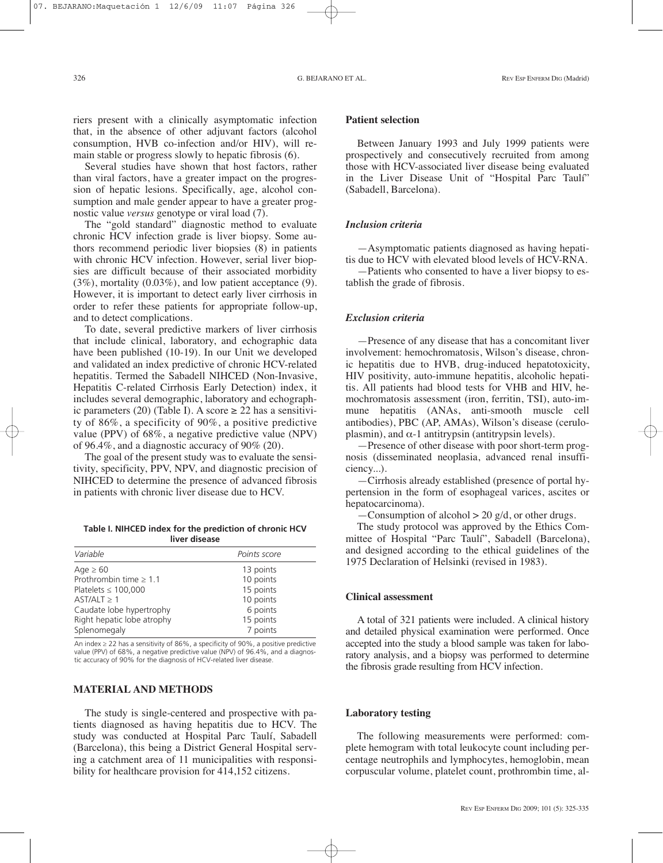riers present with a clinically asymptomatic infection that, in the absence of other adjuvant factors (alcohol consumption, HVB co-infection and/or HIV), will remain stable or progress slowly to hepatic fibrosis (6).

Several studies have shown that host factors, rather than viral factors, have a greater impact on the progression of hepatic lesions. Specifically, age, alcohol consumption and male gender appear to have a greater prognostic value *versus* genotype or viral load (7).

The "gold standard" diagnostic method to evaluate chronic HCV infection grade is liver biopsy. Some authors recommend periodic liver biopsies (8) in patients with chronic HCV infection. However, serial liver biopsies are difficult because of their associated morbidity (3%), mortality (0.03%), and low patient acceptance (9). However, it is important to detect early liver cirrhosis in order to refer these patients for appropriate follow-up, and to detect complications.

To date, several predictive markers of liver cirrhosis that include clinical, laboratory, and echographic data have been published (10-19). In our Unit we developed and validated an index predictive of chronic HCV-related hepatitis. Termed the Sabadell NIHCED (Non-Invasive, Hepatitis C-related Cirrhosis Early Detection) index, it includes several demographic, laboratory and echographic parameters (20) (Table I). A score  $\geq$  22 has a sensitivity of 86%, a specificity of 90%, a positive predictive value (PPV) of 68%, a negative predictive value (NPV) of 96.4%, and a diagnostic accuracy of 90% (20).

The goal of the present study was to evaluate the sensitivity, specificity, PPV, NPV, and diagnostic precision of NIHCED to determine the presence of advanced fibrosis in patients with chronic liver disease due to HCV.

| Table I. NIHCED index for the prediction of chronic HCV |               |  |
|---------------------------------------------------------|---------------|--|
|                                                         | liver disease |  |

| Variable                    | Points score |
|-----------------------------|--------------|
| Age $\geq 60$               | 13 points    |
| Prothrombin time $\geq 1.1$ | 10 points    |
| Platelets $\leq 100,000$    | 15 points    |
| $AST/ALT \geq 1$            | 10 points    |
| Caudate lobe hypertrophy    | 6 points     |
| Right hepatic lobe atrophy  | 15 points    |
| Splenomegaly                | 7 points     |

An index ≥ 22 has a sensitivity of 86%, a specificity of 90%, a positive predictive value (PPV) of 68%, a negative predictive value (NPV) of 96.4%, and a diagnostic accuracy of 90% for the diagnosis of HCV-related liver disease.

## **MATERIAL AND METHODS**

The study is single-centered and prospective with patients diagnosed as having hepatitis due to HCV. The study was conducted at Hospital Parc Taulí, Sabadell (Barcelona), this being a District General Hospital serving a catchment area of 11 municipalities with responsibility for healthcare provision for 414,152 citizens.

# **Patient selection**

Between January 1993 and July 1999 patients were prospectively and consecutively recruited from among those with HCV-associated liver disease being evaluated in the Liver Disease Unit of "Hospital Parc Taulí" (Sabadell, Barcelona).

#### *Inclusion criteria*

—Asymptomatic patients diagnosed as having hepatitis due to HCV with elevated blood levels of HCV-RNA.

—Patients who consented to have a liver biopsy to establish the grade of fibrosis.

#### *Exclusion criteria*

—Presence of any disease that has a concomitant liver involvement: hemochromatosis, Wilson's disease, chronic hepatitis due to HVB, drug-induced hepatotoxicity, HIV positivity, auto-immune hepatitis, alcoholic hepatitis. All patients had blood tests for VHB and HIV, hemochromatosis assessment (iron, ferritin, TSI), auto-immune hepatitis (ANAs, anti-smooth muscle cell antibodies), PBC (AP, AMAs), Wilson's disease (ceruloplasmin), and  $\alpha$ -1 antitrypsin (antitrypsin levels).

—Presence of other disease with poor short-term prognosis (disseminated neoplasia, advanced renal insufficiency...).

—Cirrhosis already established (presence of portal hypertension in the form of esophageal varices, ascites or hepatocarcinoma).

 $-$ Consumption of alcohol > 20 g/d, or other drugs.

The study protocol was approved by the Ethics Committee of Hospital "Parc Taulí", Sabadell (Barcelona), and designed according to the ethical guidelines of the 1975 Declaration of Helsinki (revised in 1983).

#### **Clinical assessment**

A total of 321 patients were included. A clinical history and detailed physical examination were performed. Once accepted into the study a blood sample was taken for laboratory analysis, and a biopsy was performed to determine the fibrosis grade resulting from HCV infection.

#### **Laboratory testing**

The following measurements were performed: complete hemogram with total leukocyte count including percentage neutrophils and lymphocytes, hemoglobin, mean corpuscular volume, platelet count, prothrombin time, al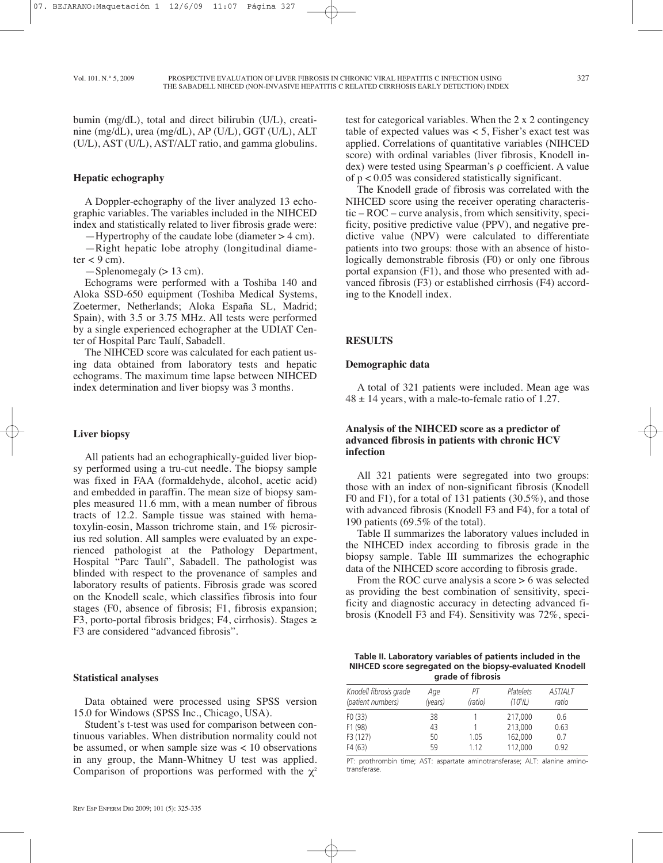bumin (mg/dL), total and direct bilirubin (U/L), creatinine (mg/dL), urea (mg/dL), AP (U/L), GGT (U/L), ALT (U/L), AST (U/L), AST/ALT ratio, and gamma globulins.

#### **Hepatic echography**

A Doppler-echography of the liver analyzed 13 echographic variables. The variables included in the NIHCED index and statistically related to liver fibrosis grade were:

—Hypertrophy of the caudate lobe (diameter > 4 cm).

—Right hepatic lobe atrophy (longitudinal diame $ter < 9$  cm).

 $-$ Splenomegaly ( $> 13$  cm).

Echograms were performed with a Toshiba 140 and Aloka SSD-650 equipment (Toshiba Medical Systems, Zoetermer, Netherlands; Aloka España SL, Madrid; Spain), with 3.5 or 3.75 MHz. All tests were performed by a single experienced echographer at the UDIAT Center of Hospital Parc Taulí, Sabadell.

The NIHCED score was calculated for each patient using data obtained from laboratory tests and hepatic echograms. The maximum time lapse between NIHCED index determination and liver biopsy was 3 months.

#### **Liver biopsy**

All patients had an echographically-guided liver biopsy performed using a tru-cut needle. The biopsy sample was fixed in FAA (formaldehyde, alcohol, acetic acid) and embedded in paraffin. The mean size of biopsy samples measured 11.6 mm, with a mean number of fibrous tracts of 12.2. Sample tissue was stained with hematoxylin-eosin, Masson trichrome stain, and 1% picrosirius red solution. All samples were evaluated by an experienced pathologist at the Pathology Department, Hospital "Parc Taulí", Sabadell. The pathologist was blinded with respect to the provenance of samples and laboratory results of patients. Fibrosis grade was scored on the Knodell scale, which classifies fibrosis into four stages (F0, absence of fibrosis; F1, fibrosis expansion; F3, porto-portal fibrosis bridges; F4, cirrhosis). Stages  $\geq$ F3 are considered "advanced fibrosis".

#### **Statistical analyses**

Data obtained were processed using SPSS version 15.0 for Windows (SPSS Inc., Chicago, USA).

Student's t-test was used for comparison between continuous variables. When distribution normality could not be assumed, or when sample size was < 10 observations in any group, the Mann-Whitney U test was applied. Comparison of proportions was performed with the  $\chi^2$ 

test for categorical variables. When the 2 x 2 contingency table of expected values was < 5, Fisher's exact test was applied. Correlations of quantitative variables (NIHCED score) with ordinal variables (liver fibrosis, Knodell index) were tested using Spearman's ρ coefficient. A value of p < 0.05 was considered statistically significant.

The Knodell grade of fibrosis was correlated with the NIHCED score using the receiver operating characteristic – ROC – curve analysis, from which sensitivity, specificity, positive predictive value (PPV), and negative predictive value (NPV) were calculated to differentiate patients into two groups: those with an absence of histologically demonstrable fibrosis (F0) or only one fibrous portal expansion (F1), and those who presented with advanced fibrosis (F3) or established cirrhosis (F4) according to the Knodell index.

#### **RESULTS**

#### **Demographic data**

A total of 321 patients were included. Mean age was  $48 \pm 14$  years, with a male-to-female ratio of 1.27.

## **Analysis of the NIHCED score as a predictor of advanced fibrosis in patients with chronic HCV infection**

All 321 patients were segregated into two groups: those with an index of non-significant fibrosis (Knodell F0 and F1), for a total of 131 patients (30.5%), and those with advanced fibrosis (Knodell F3 and F4), for a total of 190 patients (69.5% of the total).

Table II summarizes the laboratory values included in the NIHCED index according to fibrosis grade in the biopsy sample. Table III summarizes the echographic data of the NIHCED score according to fibrosis grade.

From the ROC curve analysis a score  $> 6$  was selected as providing the best combination of sensitivity, specificity and diagnostic accuracy in detecting advanced fibrosis (Knodell F3 and F4). Sensitivity was 72%, speci-

| Table II. Laboratory variables of patients included in the |
|------------------------------------------------------------|
| NIHCED score segregated on the biopsy-evaluated Knodell    |
| arade of fibrosis                                          |

| Knodell fibrosis grade | Aqe     | РT      | Platelets            | <b>ASTIALT</b> |
|------------------------|---------|---------|----------------------|----------------|
| (patient numbers)      | (years) | (ratio) | (10 <sup>9</sup> /L) | ratio          |
| FO(33)                 | 38      |         | 217.000              | 0.6            |
| F1 (98)                | 43      |         | 213,000              | 0.63           |
| F3 (127)               | 50      | 1.05    | 162,000              | 0.7            |
| F4(63)                 | 59      | 1 1 2   | 112,000              | 0.92           |

PT: prothrombin time; AST: aspartate aminotransferase; ALT: alanine aminotransferase.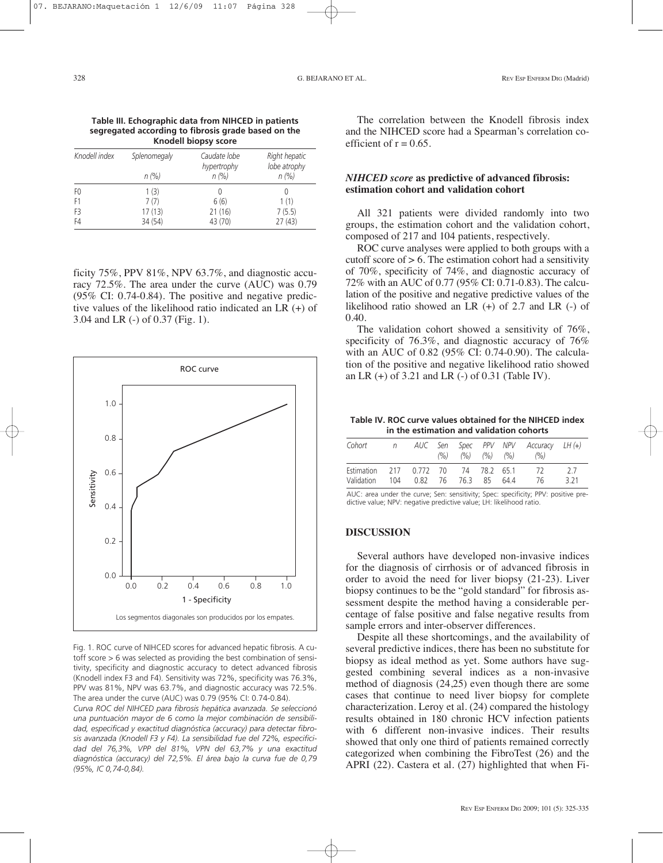**Table III. Echographic data from NIHCED in patients segregated according to fibrosis grade based on the Knodell biopsy score**

| Knodell index  | Splenomegaly | Caudate lobe<br>hypertrophy | Right hepatic<br>lobe atrophy |  |
|----------------|--------------|-----------------------------|-------------------------------|--|
|                | n (%)        | n (%)                       | n (%)                         |  |
| F0             | 1(3)         |                             | 0                             |  |
| F1             | 7(7)         | 6(6)                        | 1(1)                          |  |
| F <sub>3</sub> | 17(13)       | 21(16)                      | 7(5.5)                        |  |
| F4             | 34 (54)      | 43 (70)                     | 27(43)                        |  |

ficity 75%, PPV 81%, NPV 63.7%, and diagnostic accuracy 72.5%. The area under the curve (AUC) was 0.79 (95% CI: 0.74-0.84). The positive and negative predictive values of the likelihood ratio indicated an LR (+) of 3.04 and LR (-) of 0.37 (Fig. 1).



Fig. 1. ROC curve of NIHCED scores for advanced hepatic fibrosis. A cutoff score > 6 was selected as providing the best combination of sensitivity, specificity and diagnostic accuracy to detect advanced fibrosis (Knodell index F3 and F4). Sensitivity was 72%, specificity was 76.3%, PPV was 81%, NPV was 63.7%, and diagnostic accuracy was 72.5%. The area under the curve (AUC) was 0.79 (95% CI: 0.74-0.84).

*Curva ROC del NIHCED para fibrosis hepática avanzada. Se seleccionó una puntuación mayor de 6 como la mejor combinación de sensibilidad, especificad y exactitud diagnóstica (accuracy) para detectar fibrosis avanzada (Knodell F3 y F4). La sensibilidad fue del 72%, especificidad del 76,3%, VPP del 81%, VPN del 63,7% y una exactitud diagnóstica (accuracy) del 72,5%. El área bajo la curva fue de 0,79 (95%, IC 0,74-0,84).*

The correlation between the Knodell fibrosis index and the NIHCED score had a Spearman's correlation coefficient of  $r = 0.65$ .

## *NIHCED score* **as predictive of advanced fibrosis: estimation cohort and validation cohort**

All 321 patients were divided randomly into two groups, the estimation cohort and the validation cohort, composed of 217 and 104 patients, respectively.

ROC curve analyses were applied to both groups with a cutoff score of  $> 6$ . The estimation cohort had a sensitivity of 70%, specificity of 74%, and diagnostic accuracy of 72% with an AUC of 0.77 (95% CI: 0.71-0.83). The calculation of the positive and negative predictive values of the likelihood ratio showed an LR (+) of 2.7 and LR (-) of 0.40.

The validation cohort showed a sensitivity of 76%, specificity of 76.3%, and diagnostic accuracy of 76% with an AUC of 0.82 (95% CI: 0.74-0.90). The calculation of the positive and negative likelihood ratio showed an LR (+) of 3.21 and LR (-) of 0.31 (Table IV).

#### **Table IV. ROC curve values obtained for the NIHCED index in the estimation and validation cohorts**

| Cohort                                  | n |  | $( \% )$ $( \% )$ $( \% )$ $( \% )$ $( \% )$ |  | AUC Sen Spec PPV NPV Accuracy LH(+)<br>(9/6) |       |
|-----------------------------------------|---|--|----------------------------------------------|--|----------------------------------------------|-------|
| Estimation 217 0.772 70 74 78.2 65.1 72 |   |  |                                              |  |                                              | - 27  |
| Validation 104 0.82 76 76.3 85 64.4     |   |  |                                              |  | - 76                                         | 3 2 1 |

AUC: area under the curve; Sen: sensitivity; Spec: specificity; PPV: positive predictive value; NPV: negative predictive value; LH: likelihood ratio.

## **DISCUSSION**

Several authors have developed non-invasive indices for the diagnosis of cirrhosis or of advanced fibrosis in order to avoid the need for liver biopsy (21-23). Liver biopsy continues to be the "gold standard" for fibrosis assessment despite the method having a considerable percentage of false positive and false negative results from sample errors and inter-observer differences.

Despite all these shortcomings, and the availability of several predictive indices, there has been no substitute for biopsy as ideal method as yet. Some authors have suggested combining several indices as a non-invasive method of diagnosis (24,25) even though there are some cases that continue to need liver biopsy for complete characterization. Leroy et al. (24) compared the histology results obtained in 180 chronic HCV infection patients with 6 different non-invasive indices. Their results showed that only one third of patients remained correctly categorized when combining the FibroTest (26) and the APRI (22). Castera et al. (27) highlighted that when Fi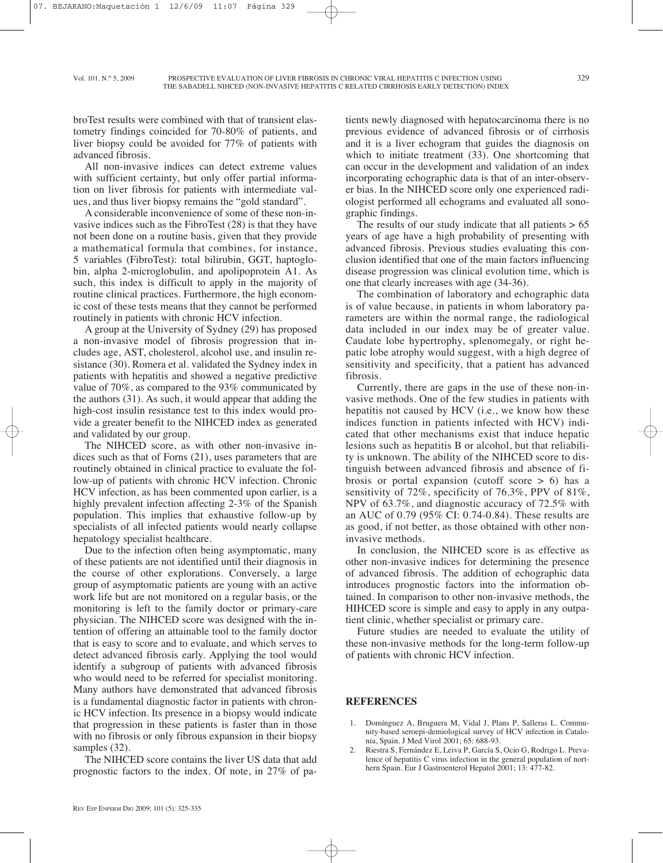broTest results were combined with that of transient elastometry findings coincided for 70-80% of patients, and liver biopsy could be avoided for 77% of patients with advanced fibrosis.

All non-invasive indices can detect extreme values with sufficient certainty, but only offer partial information on liver fibrosis for patients with intermediate values, and thus liver biopsy remains the "gold standard".

A considerable inconvenience of some of these non-invasive indices such as the FibroTest (28) is that they have not been done on a routine basis, given that they provide a mathematical formula that combines, for instance, 5 variables (FibroTest): total bilirubin, GGT, haptoglobin, alpha 2-microglobulin, and apolipoprotein A1. As such, this index is difficult to apply in the majority of routine clinical practices. Furthermore, the high economic cost of these tests means that they cannot be performed routinely in patients with chronic HCV infection.

A group at the University of Sydney (29) has proposed a non-invasive model of fibrosis progression that includes age, AST, cholesterol, alcohol use, and insulin resistance (30). Romera et al. validated the Sydney index in patients with hepatitis and showed a negative predictive value of 70%, as compared to the 93% communicated by the authors (31). As such, it would appear that adding the high-cost insulin resistance test to this index would provide a greater benefit to the NIHCED index as generated and validated by our group.

The NIHCED score, as with other non-invasive indices such as that of Forns (21), uses parameters that are routinely obtained in clinical practice to evaluate the follow-up of patients with chronic HCV infection. Chronic HCV infection, as has been commented upon earlier, is a highly prevalent infection affecting 2-3% of the Spanish population. This implies that exhaustive follow-up by specialists of all infected patients would nearly collapse hepatology specialist healthcare.

Due to the infection often being asymptomatic, many of these patients are not identified until their diagnosis in the course of other explorations. Conversely, a large group of asymptomatic patients are young with an active work life but are not monitored on a regular basis, or the monitoring is left to the family doctor or primary-care physician. The NIHCED score was designed with the intention of offering an attainable tool to the family doctor that is easy to score and to evaluate, and which serves to detect advanced fibrosis early. Applying the tool would identify a subgroup of patients with advanced fibrosis who would need to be referred for specialist monitoring. Many authors have demonstrated that advanced fibrosis is a fundamental diagnostic factor in patients with chronic HCV infection. Its presence in a biopsy would indicate that progression in these patients is faster than in those with no fibrosis or only fibrous expansion in their biopsy samples (32).

The NIHCED score contains the liver US data that add prognostic factors to the index. Of note, in 27% of patients newly diagnosed with hepatocarcinoma there is no previous evidence of advanced fibrosis or of cirrhosis and it is a liver echogram that guides the diagnosis on which to initiate treatment (33). One shortcoming that can occur in the development and validation of an index incorporating echographic data is that of an inter-observer bias. In the NIHCED score only one experienced radiologist performed all echograms and evaluated all sonographic findings.

The results of our study indicate that all patients  $> 65$ years of age have a high probability of presenting with advanced fibrosis. Previous studies evaluating this conclusion identified that one of the main factors influencing disease progression was clinical evolution time, which is one that clearly increases with age (34-36).

The combination of laboratory and echographic data is of value because, in patients in whom laboratory parameters are within the normal range, the radiological data included in our index may be of greater value. Caudate lobe hypertrophy, splenomegaly, or right hepatic lobe atrophy would suggest, with a high degree of sensitivity and specificity, that a patient has advanced fibrosis.

Currently, there are gaps in the use of these non-invasive methods. One of the few studies in patients with hepatitis not caused by HCV (i.e., we know how these indices function in patients infected with HCV) indicated that other mechanisms exist that induce hepatic lesions such as hepatitis B or alcohol, but that reliability is unknown. The ability of the NIHCED score to distinguish between advanced fibrosis and absence of fibrosis or portal expansion (cutoff score  $> 6$ ) has a sensitivity of 72%, specificity of 76.3%, PPV of 81%, NPV of 63.7%, and diagnostic accuracy of 72.5% with an AUC of 0.79 (95% CI: 0.74-0.84). These results are as good, if not better, as those obtained with other noninvasive methods.

In conclusion, the NIHCED score is as effective as other non-invasive indices for determining the presence of advanced fibrosis. The addition of echographic data introduces prognostic factors into the information obtained. In comparison to other non-invasive methods, the HIHCED score is simple and easy to apply in any outpatient clinic, whether specialist or primary care.

Future studies are needed to evaluate the utility of these non-invasive methods for the long-term follow-up of patients with chronic HCV infection.

#### **REFERENCES**

- 1. Domínguez A, Bruguera M, Vidal J, Plans P, Salleras L. Community-based seroepi-demiological survey of HCV infection in Catalonia, Spain. J Med Virol 2001; 65: 688-93.
- 2. Riestra S, Fernández E, Leiva P, García S, Ocio G, Rodrigo L. Prevalence of hepatitis C virus infection in the general population of northern Spain. Eur J Gastroenterol Hepatol 2001; 13: 477-82.